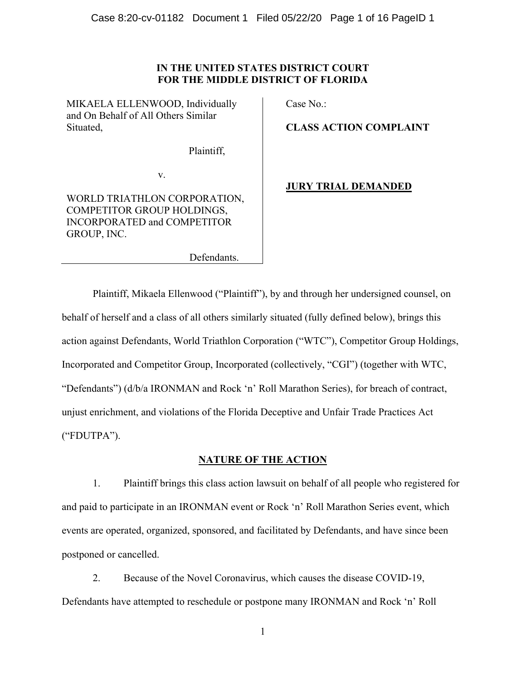# **IN THE UNITED STATES DISTRICT COURT FOR THE MIDDLE DISTRICT OF FLORIDA**

MIKAELA ELLENWOOD, Individually and On Behalf of All Others Similar Situated,

Case No.:

**CLASS ACTION COMPLAINT** 

Plaintiff,

v.

# WORLD TRIATHLON CORPORATION, COMPETITOR GROUP HOLDINGS, INCORPORATED and COMPETITOR GROUP, INC.

# **JURY TRIAL DEMANDED**

Defendants.

Plaintiff, Mikaela Ellenwood ("Plaintiff"), by and through her undersigned counsel, on behalf of herself and a class of all others similarly situated (fully defined below), brings this action against Defendants, World Triathlon Corporation ("WTC"), Competitor Group Holdings, Incorporated and Competitor Group, Incorporated (collectively, "CGI") (together with WTC, "Defendants") (d/b/a IRONMAN and Rock 'n' Roll Marathon Series), for breach of contract, unjust enrichment, and violations of the Florida Deceptive and Unfair Trade Practices Act ("FDUTPA").

# **NATURE OF THE ACTION**

1. Plaintiff brings this class action lawsuit on behalf of all people who registered for and paid to participate in an IRONMAN event or Rock 'n' Roll Marathon Series event, which events are operated, organized, sponsored, and facilitated by Defendants, and have since been postponed or cancelled.

2. Because of the Novel Coronavirus, which causes the disease COVID-19, Defendants have attempted to reschedule or postpone many IRONMAN and Rock 'n' Roll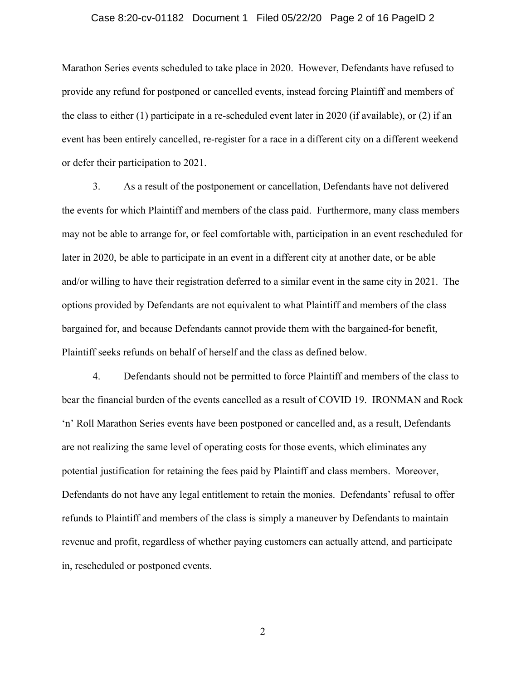#### Case 8:20-cv-01182 Document 1 Filed 05/22/20 Page 2 of 16 PageID 2

Marathon Series events scheduled to take place in 2020. However, Defendants have refused to provide any refund for postponed or cancelled events, instead forcing Plaintiff and members of the class to either (1) participate in a re-scheduled event later in 2020 (if available), or (2) if an event has been entirely cancelled, re-register for a race in a different city on a different weekend or defer their participation to 2021.

3. As a result of the postponement or cancellation, Defendants have not delivered the events for which Plaintiff and members of the class paid. Furthermore, many class members may not be able to arrange for, or feel comfortable with, participation in an event rescheduled for later in 2020, be able to participate in an event in a different city at another date, or be able and/or willing to have their registration deferred to a similar event in the same city in 2021. The options provided by Defendants are not equivalent to what Plaintiff and members of the class bargained for, and because Defendants cannot provide them with the bargained-for benefit, Plaintiff seeks refunds on behalf of herself and the class as defined below.

4. Defendants should not be permitted to force Plaintiff and members of the class to bear the financial burden of the events cancelled as a result of COVID 19. IRONMAN and Rock 'n' Roll Marathon Series events have been postponed or cancelled and, as a result, Defendants are not realizing the same level of operating costs for those events, which eliminates any potential justification for retaining the fees paid by Plaintiff and class members. Moreover, Defendants do not have any legal entitlement to retain the monies. Defendants' refusal to offer refunds to Plaintiff and members of the class is simply a maneuver by Defendants to maintain revenue and profit, regardless of whether paying customers can actually attend, and participate in, rescheduled or postponed events.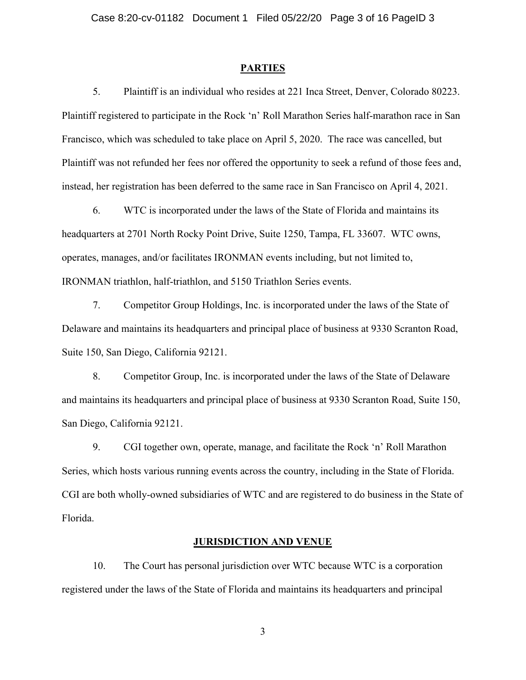#### **PARTIES**

5. Plaintiff is an individual who resides at 221 Inca Street, Denver, Colorado 80223. Plaintiff registered to participate in the Rock 'n' Roll Marathon Series half-marathon race in San Francisco, which was scheduled to take place on April 5, 2020. The race was cancelled, but Plaintiff was not refunded her fees nor offered the opportunity to seek a refund of those fees and, instead, her registration has been deferred to the same race in San Francisco on April 4, 2021.

6. WTC is incorporated under the laws of the State of Florida and maintains its headquarters at 2701 North Rocky Point Drive, Suite 1250, Tampa, FL 33607. WTC owns, operates, manages, and/or facilitates IRONMAN events including, but not limited to, IRONMAN triathlon, half-triathlon, and 5150 Triathlon Series events.

7. Competitor Group Holdings, Inc. is incorporated under the laws of the State of Delaware and maintains its headquarters and principal place of business at 9330 Scranton Road, Suite 150, San Diego, California 92121.

8. Competitor Group, Inc. is incorporated under the laws of the State of Delaware and maintains its headquarters and principal place of business at 9330 Scranton Road, Suite 150, San Diego, California 92121.

9. CGI together own, operate, manage, and facilitate the Rock 'n' Roll Marathon Series, which hosts various running events across the country, including in the State of Florida. CGI are both wholly-owned subsidiaries of WTC and are registered to do business in the State of Florida.

#### **JURISDICTION AND VENUE**

10. The Court has personal jurisdiction over WTC because WTC is a corporation registered under the laws of the State of Florida and maintains its headquarters and principal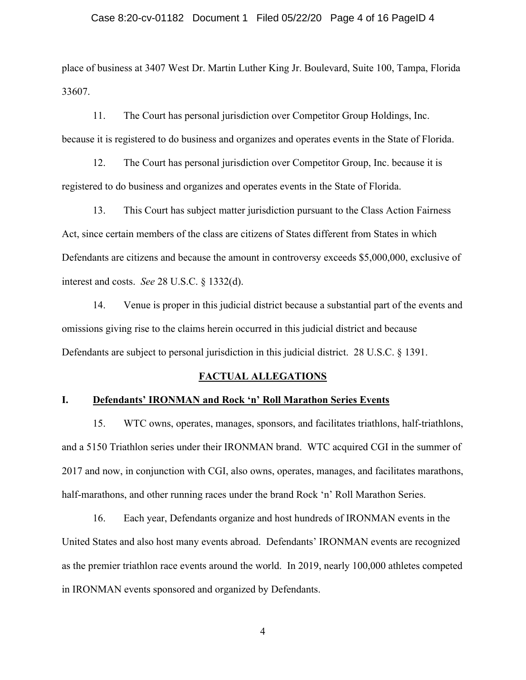place of business at 3407 West Dr. Martin Luther King Jr. Boulevard, Suite 100, Tampa, Florida 33607.

11. The Court has personal jurisdiction over Competitor Group Holdings, Inc. because it is registered to do business and organizes and operates events in the State of Florida.

12. The Court has personal jurisdiction over Competitor Group, Inc. because it is registered to do business and organizes and operates events in the State of Florida.

13. This Court has subject matter jurisdiction pursuant to the Class Action Fairness Act, since certain members of the class are citizens of States different from States in which Defendants are citizens and because the amount in controversy exceeds \$5,000,000, exclusive of interest and costs. *See* 28 U.S.C. § 1332(d).

14. Venue is proper in this judicial district because a substantial part of the events and omissions giving rise to the claims herein occurred in this judicial district and because Defendants are subject to personal jurisdiction in this judicial district. 28 U.S.C. § 1391.

#### **FACTUAL ALLEGATIONS**

#### **I. Defendants' IRONMAN and Rock 'n' Roll Marathon Series Events**

15. WTC owns, operates, manages, sponsors, and facilitates triathlons, half-triathlons, and a 5150 Triathlon series under their IRONMAN brand. WTC acquired CGI in the summer of 2017 and now, in conjunction with CGI, also owns, operates, manages, and facilitates marathons, half-marathons, and other running races under the brand Rock 'n' Roll Marathon Series.

16. Each year, Defendants organize and host hundreds of IRONMAN events in the United States and also host many events abroad. Defendants' IRONMAN events are recognized as the premier triathlon race events around the world. In 2019, nearly 100,000 athletes competed in IRONMAN events sponsored and organized by Defendants.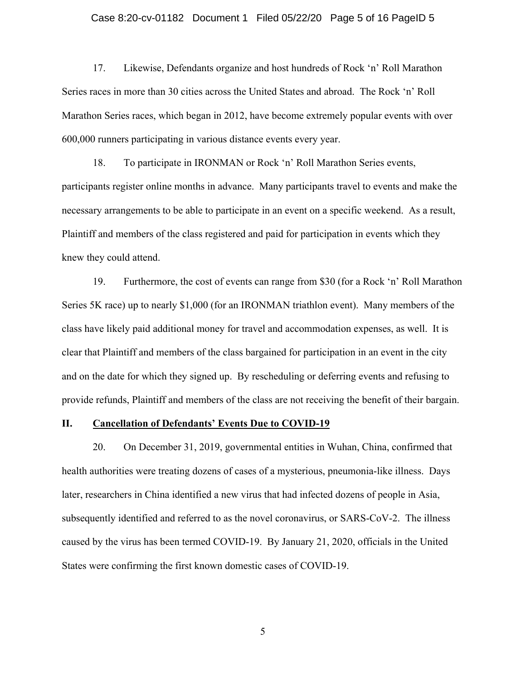#### Case 8:20-cv-01182 Document 1 Filed 05/22/20 Page 5 of 16 PageID 5

17. Likewise, Defendants organize and host hundreds of Rock 'n' Roll Marathon Series races in more than 30 cities across the United States and abroad. The Rock 'n' Roll Marathon Series races, which began in 2012, have become extremely popular events with over 600,000 runners participating in various distance events every year.

18. To participate in IRONMAN or Rock 'n' Roll Marathon Series events, participants register online months in advance. Many participants travel to events and make the necessary arrangements to be able to participate in an event on a specific weekend. As a result, Plaintiff and members of the class registered and paid for participation in events which they knew they could attend.

19. Furthermore, the cost of events can range from \$30 (for a Rock 'n' Roll Marathon Series 5K race) up to nearly \$1,000 (for an IRONMAN triathlon event). Many members of the class have likely paid additional money for travel and accommodation expenses, as well. It is clear that Plaintiff and members of the class bargained for participation in an event in the city and on the date for which they signed up. By rescheduling or deferring events and refusing to provide refunds, Plaintiff and members of the class are not receiving the benefit of their bargain.

#### **II. Cancellation of Defendants' Events Due to COVID-19**

20. On December 31, 2019, governmental entities in Wuhan, China, confirmed that health authorities were treating dozens of cases of a mysterious, pneumonia-like illness. Days later, researchers in China identified a new virus that had infected dozens of people in Asia, subsequently identified and referred to as the novel coronavirus, or SARS-CoV-2. The illness caused by the virus has been termed COVID-19. By January 21, 2020, officials in the United States were confirming the first known domestic cases of COVID-19.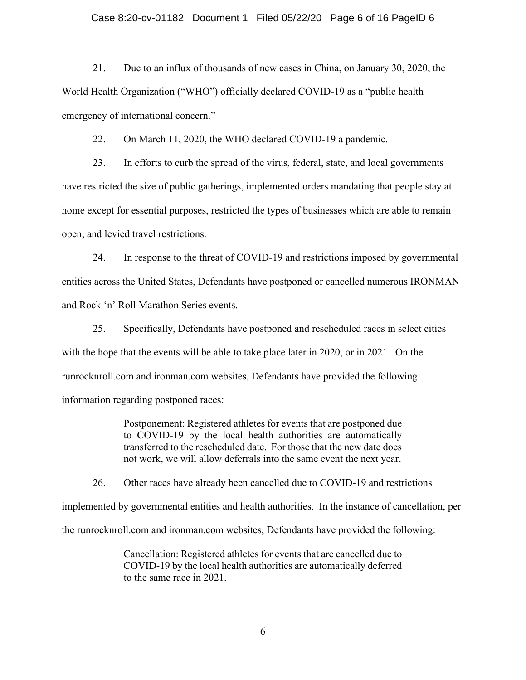#### Case 8:20-cv-01182 Document 1 Filed 05/22/20 Page 6 of 16 PageID 6

21. Due to an influx of thousands of new cases in China, on January 30, 2020, the World Health Organization ("WHO") officially declared COVID-19 as a "public health emergency of international concern."

22. On March 11, 2020, the WHO declared COVID-19 a pandemic.

23. In efforts to curb the spread of the virus, federal, state, and local governments have restricted the size of public gatherings, implemented orders mandating that people stay at home except for essential purposes, restricted the types of businesses which are able to remain open, and levied travel restrictions.

24. In response to the threat of COVID-19 and restrictions imposed by governmental entities across the United States, Defendants have postponed or cancelled numerous IRONMAN and Rock 'n' Roll Marathon Series events.

25. Specifically, Defendants have postponed and rescheduled races in select cities with the hope that the events will be able to take place later in 2020, or in 2021. On the runrocknroll.com and ironman.com websites, Defendants have provided the following information regarding postponed races:

> Postponement: Registered athletes for events that are postponed due to COVID-19 by the local health authorities are automatically transferred to the rescheduled date. For those that the new date does not work, we will allow deferrals into the same event the next year.

26. Other races have already been cancelled due to COVID-19 and restrictions implemented by governmental entities and health authorities. In the instance of cancellation, per the runrocknroll.com and ironman.com websites, Defendants have provided the following:

> Cancellation: Registered athletes for events that are cancelled due to COVID-19 by the local health authorities are automatically deferred to the same race in 2021.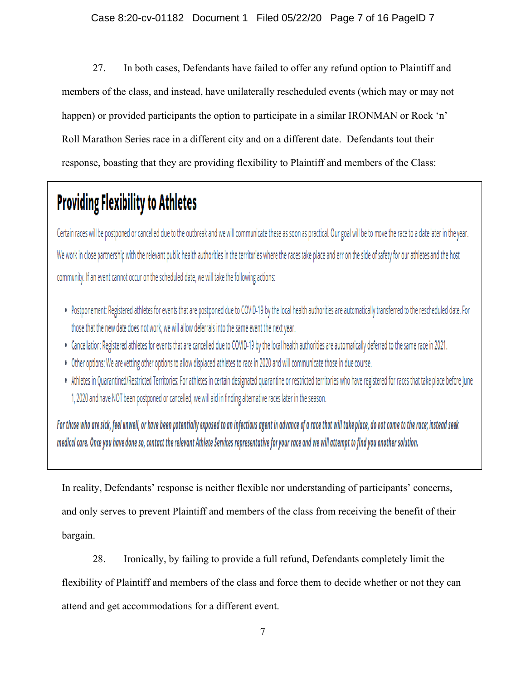27. In both cases, Defendants have failed to offer any refund option to Plaintiff and members of the class, and instead, have unilaterally rescheduled events (which may or may not happen) or provided participants the option to participate in a similar IRONMAN or Rock 'n' Roll Marathon Series race in a different city and on a different date. Defendants tout their response, boasting that they are providing flexibility to Plaintiff and members of the Class:

# **Providing Flexibility to Athletes**

Certain races will be postponed or cancelled due to the outbreak and we will communicate these as soon as practical. Our goal will be to move the race to a date later in the year. We work in close partnership with the relevant public health authorities in the territories where the races take place and err on the side of safety for our athletes and the host community. If an event cannot occur on the scheduled date, we will take the following actions:

- . Postponement: Registered athletes for events that are postponed due to COVID-19 by the local health authorities are automatically transferred to the rescheduled date. For those that the new date does not work, we will allow deferrals into the same event the next year.
- . Cancellation: Registered athletes for events that are cancelled due to COVID-19 by the local health authorities are automatically deferred to the same race in 2021.
- . Other options: We are vetting other options to allow displaced athletes to race in 2020 and will communicate those in due course.
- . Athletes in Quarantined/Restricted Territories: For athletes in certain designated quarantine or restricted territories who have registered for races that take place before June 1, 2020 and have NOT been postponed or cancelled, we will aid in finding alternative races later in the season.

For those who are sick, feel unwell, or have been potentially exposed to an infectious agent in advance of a race that will take place, do not come to the race; instead seek medical care. Once you have done so, contact the relevant Athlete Services representative for your race and we will attempt to find you another solution.

In reality, Defendants' response is neither flexible nor understanding of participants' concerns, and only serves to prevent Plaintiff and members of the class from receiving the benefit of their bargain.

28. Ironically, by failing to provide a full refund, Defendants completely limit the

flexibility of Plaintiff and members of the class and force them to decide whether or not they can attend and get accommodations for a different event.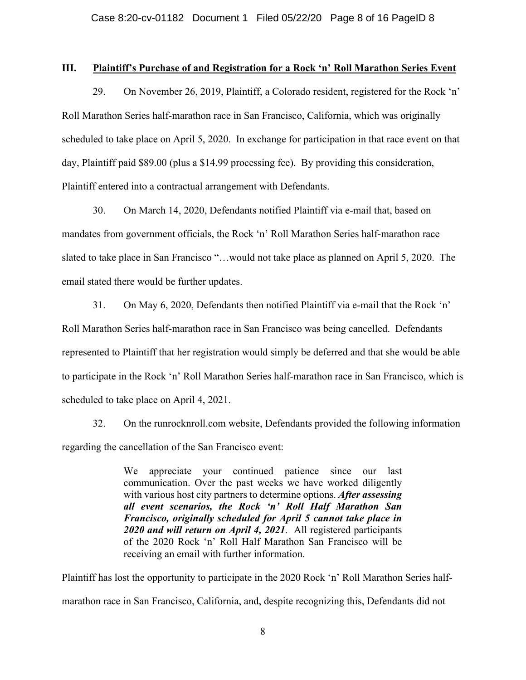#### **III. Plaintiff's Purchase of and Registration for a Rock 'n' Roll Marathon Series Event**

29. On November 26, 2019, Plaintiff, a Colorado resident, registered for the Rock 'n' Roll Marathon Series half-marathon race in San Francisco, California, which was originally scheduled to take place on April 5, 2020. In exchange for participation in that race event on that day, Plaintiff paid \$89.00 (plus a \$14.99 processing fee). By providing this consideration, Plaintiff entered into a contractual arrangement with Defendants.

30. On March 14, 2020, Defendants notified Plaintiff via e-mail that, based on mandates from government officials, the Rock 'n' Roll Marathon Series half-marathon race slated to take place in San Francisco "…would not take place as planned on April 5, 2020. The email stated there would be further updates.

31. On May 6, 2020, Defendants then notified Plaintiff via e-mail that the Rock 'n' Roll Marathon Series half-marathon race in San Francisco was being cancelled. Defendants represented to Plaintiff that her registration would simply be deferred and that she would be able to participate in the Rock 'n' Roll Marathon Series half-marathon race in San Francisco, which is scheduled to take place on April 4, 2021.

32. On the runrocknroll.com website, Defendants provided the following information regarding the cancellation of the San Francisco event:

> We appreciate your continued patience since our last communication. Over the past weeks we have worked diligently with various host city partners to determine options. *After assessing all event scenarios, the Rock 'n' Roll Half Marathon San Francisco, originally scheduled for April 5 cannot take place in 2020 and will return on April 4, 2021*. All registered participants of the 2020 Rock 'n' Roll Half Marathon San Francisco will be receiving an email with further information.

Plaintiff has lost the opportunity to participate in the 2020 Rock 'n' Roll Marathon Series halfmarathon race in San Francisco, California, and, despite recognizing this, Defendants did not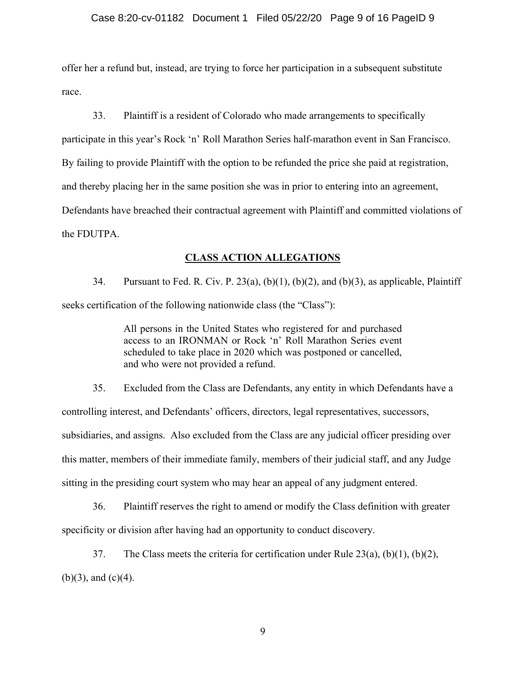offer her a refund but, instead, are trying to force her participation in a subsequent substitute race.

33. Plaintiff is a resident of Colorado who made arrangements to specifically participate in this year's Rock 'n' Roll Marathon Series half-marathon event in San Francisco. By failing to provide Plaintiff with the option to be refunded the price she paid at registration, and thereby placing her in the same position she was in prior to entering into an agreement, Defendants have breached their contractual agreement with Plaintiff and committed violations of the FDUTPA.

### **CLASS ACTION ALLEGATIONS**

34. Pursuant to Fed. R. Civ. P. 23(a),  $(b)(1)$ ,  $(b)(2)$ , and  $(b)(3)$ , as applicable, Plaintiff seeks certification of the following nationwide class (the "Class"):

> All persons in the United States who registered for and purchased access to an IRONMAN or Rock 'n' Roll Marathon Series event scheduled to take place in 2020 which was postponed or cancelled, and who were not provided a refund.

35. Excluded from the Class are Defendants, any entity in which Defendants have a controlling interest, and Defendants' officers, directors, legal representatives, successors, subsidiaries, and assigns. Also excluded from the Class are any judicial officer presiding over this matter, members of their immediate family, members of their judicial staff, and any Judge sitting in the presiding court system who may hear an appeal of any judgment entered.

36. Plaintiff reserves the right to amend or modify the Class definition with greater specificity or division after having had an opportunity to conduct discovery.

37. The Class meets the criteria for certification under Rule  $23(a)$ ,  $(b)(1)$ ,  $(b)(2)$ ,  $(b)(3)$ , and  $(c)(4)$ .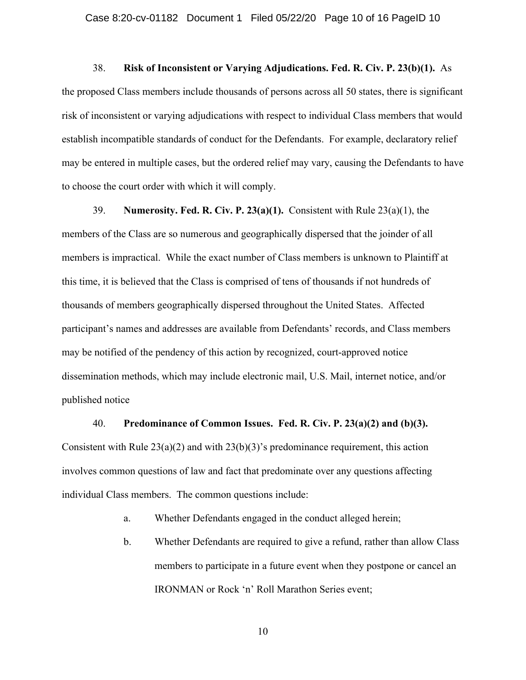#### 38. **Risk of Inconsistent or Varying Adjudications. Fed. R. Civ. P. 23(b)(1).** As

the proposed Class members include thousands of persons across all 50 states, there is significant risk of inconsistent or varying adjudications with respect to individual Class members that would establish incompatible standards of conduct for the Defendants. For example, declaratory relief may be entered in multiple cases, but the ordered relief may vary, causing the Defendants to have to choose the court order with which it will comply.

39. **Numerosity. Fed. R. Civ. P. 23(a)(1).** Consistent with Rule 23(a)(1), the members of the Class are so numerous and geographically dispersed that the joinder of all members is impractical. While the exact number of Class members is unknown to Plaintiff at this time, it is believed that the Class is comprised of tens of thousands if not hundreds of thousands of members geographically dispersed throughout the United States. Affected participant's names and addresses are available from Defendants' records, and Class members may be notified of the pendency of this action by recognized, court-approved notice dissemination methods, which may include electronic mail, U.S. Mail, internet notice, and/or published notice

#### 40. **Predominance of Common Issues. Fed. R. Civ. P. 23(a)(2) and (b)(3).**

Consistent with Rule  $23(a)(2)$  and with  $23(b)(3)$ 's predominance requirement, this action involves common questions of law and fact that predominate over any questions affecting individual Class members. The common questions include:

a. Whether Defendants engaged in the conduct alleged herein;

b. Whether Defendants are required to give a refund, rather than allow Class members to participate in a future event when they postpone or cancel an IRONMAN or Rock 'n' Roll Marathon Series event;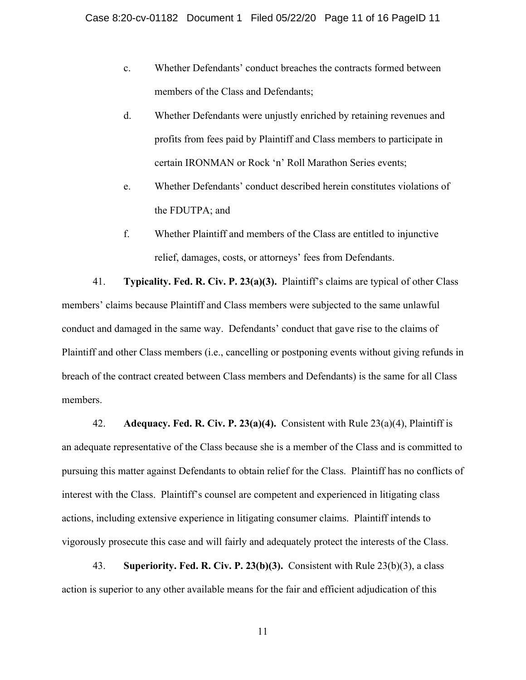- c. Whether Defendants' conduct breaches the contracts formed between members of the Class and Defendants;
- d. Whether Defendants were unjustly enriched by retaining revenues and profits from fees paid by Plaintiff and Class members to participate in certain IRONMAN or Rock 'n' Roll Marathon Series events;
- e. Whether Defendants' conduct described herein constitutes violations of the FDUTPA; and
- f. Whether Plaintiff and members of the Class are entitled to injunctive relief, damages, costs, or attorneys' fees from Defendants.

41. **Typicality. Fed. R. Civ. P. 23(a)(3).** Plaintiff's claims are typical of other Class members' claims because Plaintiff and Class members were subjected to the same unlawful conduct and damaged in the same way. Defendants' conduct that gave rise to the claims of Plaintiff and other Class members (i.e., cancelling or postponing events without giving refunds in breach of the contract created between Class members and Defendants) is the same for all Class members.

42. **Adequacy. Fed. R. Civ. P. 23(a)(4).** Consistent with Rule 23(a)(4), Plaintiff is an adequate representative of the Class because she is a member of the Class and is committed to pursuing this matter against Defendants to obtain relief for the Class. Plaintiff has no conflicts of interest with the Class. Plaintiff's counsel are competent and experienced in litigating class actions, including extensive experience in litigating consumer claims. Plaintiff intends to vigorously prosecute this case and will fairly and adequately protect the interests of the Class.

43. **Superiority. Fed. R. Civ. P. 23(b)(3).** Consistent with Rule 23(b)(3), a class action is superior to any other available means for the fair and efficient adjudication of this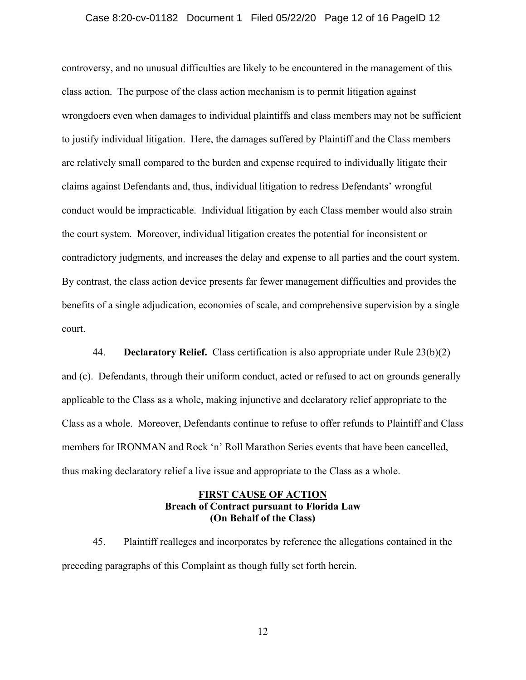#### Case 8:20-cv-01182 Document 1 Filed 05/22/20 Page 12 of 16 PageID 12

controversy, and no unusual difficulties are likely to be encountered in the management of this class action. The purpose of the class action mechanism is to permit litigation against wrongdoers even when damages to individual plaintiffs and class members may not be sufficient to justify individual litigation. Here, the damages suffered by Plaintiff and the Class members are relatively small compared to the burden and expense required to individually litigate their claims against Defendants and, thus, individual litigation to redress Defendants' wrongful conduct would be impracticable. Individual litigation by each Class member would also strain the court system. Moreover, individual litigation creates the potential for inconsistent or contradictory judgments, and increases the delay and expense to all parties and the court system. By contrast, the class action device presents far fewer management difficulties and provides the benefits of a single adjudication, economies of scale, and comprehensive supervision by a single court.

44. **Declaratory Relief.** Class certification is also appropriate under Rule 23(b)(2) and (c). Defendants, through their uniform conduct, acted or refused to act on grounds generally applicable to the Class as a whole, making injunctive and declaratory relief appropriate to the Class as a whole. Moreover, Defendants continue to refuse to offer refunds to Plaintiff and Class members for IRONMAN and Rock 'n' Roll Marathon Series events that have been cancelled, thus making declaratory relief a live issue and appropriate to the Class as a whole.

## **FIRST CAUSE OF ACTION Breach of Contract pursuant to Florida Law (On Behalf of the Class)**

45. Plaintiff realleges and incorporates by reference the allegations contained in the preceding paragraphs of this Complaint as though fully set forth herein.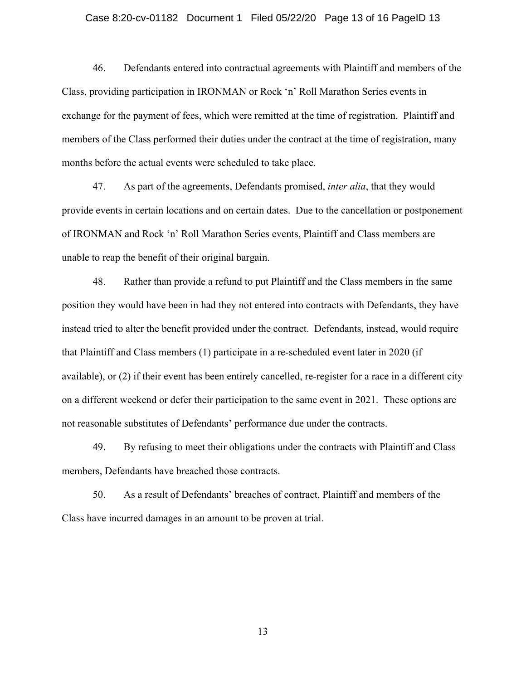#### Case 8:20-cv-01182 Document 1 Filed 05/22/20 Page 13 of 16 PageID 13

46. Defendants entered into contractual agreements with Plaintiff and members of the Class, providing participation in IRONMAN or Rock 'n' Roll Marathon Series events in exchange for the payment of fees, which were remitted at the time of registration. Plaintiff and members of the Class performed their duties under the contract at the time of registration, many months before the actual events were scheduled to take place.

47. As part of the agreements, Defendants promised, *inter alia*, that they would provide events in certain locations and on certain dates. Due to the cancellation or postponement of IRONMAN and Rock 'n' Roll Marathon Series events, Plaintiff and Class members are unable to reap the benefit of their original bargain.

48. Rather than provide a refund to put Plaintiff and the Class members in the same position they would have been in had they not entered into contracts with Defendants, they have instead tried to alter the benefit provided under the contract. Defendants, instead, would require that Plaintiff and Class members (1) participate in a re-scheduled event later in 2020 (if available), or (2) if their event has been entirely cancelled, re-register for a race in a different city on a different weekend or defer their participation to the same event in 2021. These options are not reasonable substitutes of Defendants' performance due under the contracts.

49. By refusing to meet their obligations under the contracts with Plaintiff and Class members, Defendants have breached those contracts.

50. As a result of Defendants' breaches of contract, Plaintiff and members of the Class have incurred damages in an amount to be proven at trial.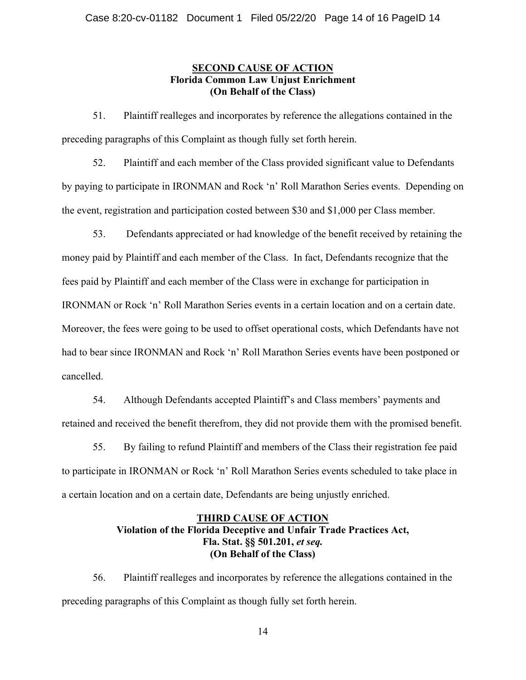## **SECOND CAUSE OF ACTION Florida Common Law Unjust Enrichment (On Behalf of the Class)**

51. Plaintiff realleges and incorporates by reference the allegations contained in the preceding paragraphs of this Complaint as though fully set forth herein.

52. Plaintiff and each member of the Class provided significant value to Defendants by paying to participate in IRONMAN and Rock 'n' Roll Marathon Series events. Depending on the event, registration and participation costed between \$30 and \$1,000 per Class member.

53. Defendants appreciated or had knowledge of the benefit received by retaining the money paid by Plaintiff and each member of the Class. In fact, Defendants recognize that the fees paid by Plaintiff and each member of the Class were in exchange for participation in IRONMAN or Rock 'n' Roll Marathon Series events in a certain location and on a certain date. Moreover, the fees were going to be used to offset operational costs, which Defendants have not had to bear since IRONMAN and Rock 'n' Roll Marathon Series events have been postponed or cancelled.

54. Although Defendants accepted Plaintiff's and Class members' payments and retained and received the benefit therefrom, they did not provide them with the promised benefit.

55. By failing to refund Plaintiff and members of the Class their registration fee paid to participate in IRONMAN or Rock 'n' Roll Marathon Series events scheduled to take place in a certain location and on a certain date, Defendants are being unjustly enriched.

# **THIRD CAUSE OF ACTION Violation of the Florida Deceptive and Unfair Trade Practices Act, Fla. Stat. §§ 501.201,** *et seq.* **(On Behalf of the Class)**

56. Plaintiff realleges and incorporates by reference the allegations contained in the preceding paragraphs of this Complaint as though fully set forth herein.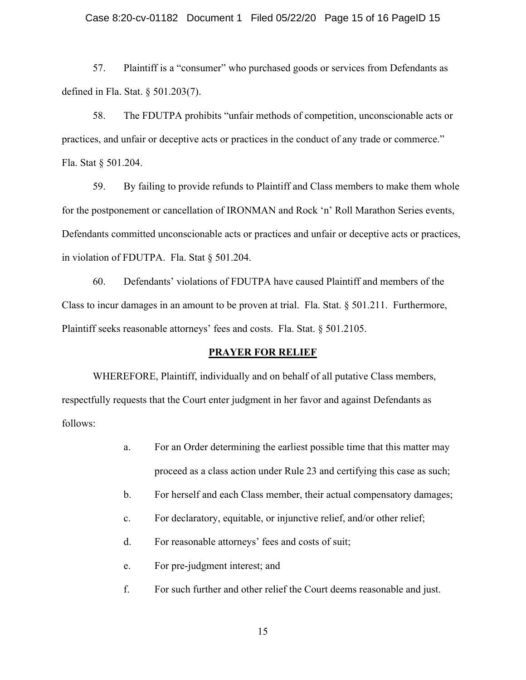#### Case 8:20-cv-01182 Document 1 Filed 05/22/20 Page 15 of 16 PageID 15

57. Plaintiff is a "consumer" who purchased goods or services from Defendants as defined in Fla. Stat. § 501.203(7).

58. The FDUTPA prohibits "unfair methods of competition, unconscionable acts or practices, and unfair or deceptive acts or practices in the conduct of any trade or commerce." Fla. Stat § 501.204.

59. By failing to provide refunds to Plaintiff and Class members to make them whole for the postponement or cancellation of IRONMAN and Rock 'n' Roll Marathon Series events, Defendants committed unconscionable acts or practices and unfair or deceptive acts or practices, in violation of FDUTPA. Fla. Stat § 501.204.

60. Defendants' violations of FDUTPA have caused Plaintiff and members of the Class to incur damages in an amount to be proven at trial. Fla. Stat. § 501.211. Furthermore, Plaintiff seeks reasonable attorneys' fees and costs. Fla. Stat. § 501.2105.

#### **PRAYER FOR RELIEF**

WHEREFORE, Plaintiff, individually and on behalf of all putative Class members, respectfully requests that the Court enter judgment in her favor and against Defendants as follows:

- a. For an Order determining the earliest possible time that this matter may proceed as a class action under Rule 23 and certifying this case as such;
- b. For herself and each Class member, their actual compensatory damages;
- c. For declaratory, equitable, or injunctive relief, and/or other relief;
- d. For reasonable attorneys' fees and costs of suit;
- e. For pre-judgment interest; and
- f. For such further and other relief the Court deems reasonable and just.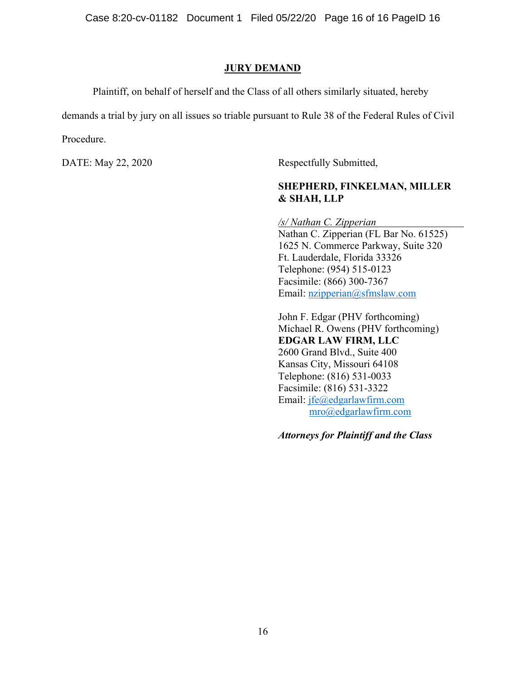Case 8:20-cv-01182 Document 1 Filed 05/22/20 Page 16 of 16 PageID 16

#### **JURY DEMAND**

Plaintiff, on behalf of herself and the Class of all others similarly situated, hereby

demands a trial by jury on all issues so triable pursuant to Rule 38 of the Federal Rules of Civil Procedure.

DATE: May 22, 2020 Respectfully Submitted,

# **SHEPHERD, FINKELMAN, MILLER & SHAH, LLP**

*/s/ Nathan C. Zipperian*  Nathan C. Zipperian (FL Bar No. 61525) 1625 N. Commerce Parkway, Suite 320 Ft. Lauderdale, Florida 33326 Telephone: (954) 515-0123 Facsimile: (866) 300-7367 Email: nzipperian@sfmslaw.com

John F. Edgar (PHV forthcoming) Michael R. Owens (PHV forthcoming) **EDGAR LAW FIRM, LLC**  2600 Grand Blvd., Suite 400 Kansas City, Missouri 64108 Telephone: (816) 531-0033 Facsimile: (816) 531-3322 Email: jfe@edgarlawfirm.com mro@edgarlawfirm.com

*Attorneys for Plaintiff and the Class*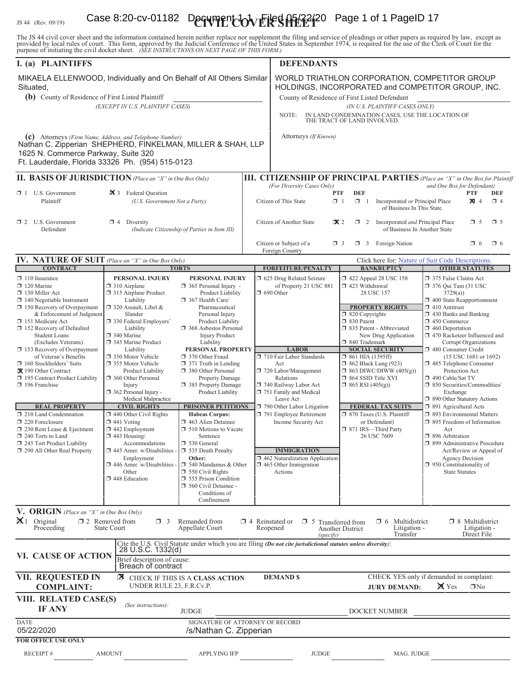# IS 44 (Rev. 09/19) **Case 8:20-cv-01182 Dequment 1-0 v Eiles AF/22/20** Page 1 of 1 PageID 17

The JS 44 civil cover sheet and the information contained herein neither replace nor supplement the filing and service of pleadings or other papers as required by law, except as provided by local rules of court. This form,

| I. (a) PLAINTIFFS                                                                                                                                                                                                                                                                                                                                                                                                                                                                                                                                                                                                                           |                                                                                                                                                                                                                                                                                                                                                                                                                                                                                                                                                                                                                              |                                                                                                                                                                                                                                                                                                                                                                                                                                                                                                                                                                                                                                                                                                         |                                                                               | <b>DEFENDANTS</b>                                                                                                                                                                                                                                                                                                                                                                                                          |                                                                                                                                                                                                                  |                                                                                                                                                                                                                                                                             |                                                                                                                                                                                                                                                                                                                                                                                                                                                                                                                                                                                                                                              |                                                                                              |          |
|---------------------------------------------------------------------------------------------------------------------------------------------------------------------------------------------------------------------------------------------------------------------------------------------------------------------------------------------------------------------------------------------------------------------------------------------------------------------------------------------------------------------------------------------------------------------------------------------------------------------------------------------|------------------------------------------------------------------------------------------------------------------------------------------------------------------------------------------------------------------------------------------------------------------------------------------------------------------------------------------------------------------------------------------------------------------------------------------------------------------------------------------------------------------------------------------------------------------------------------------------------------------------------|---------------------------------------------------------------------------------------------------------------------------------------------------------------------------------------------------------------------------------------------------------------------------------------------------------------------------------------------------------------------------------------------------------------------------------------------------------------------------------------------------------------------------------------------------------------------------------------------------------------------------------------------------------------------------------------------------------|-------------------------------------------------------------------------------|----------------------------------------------------------------------------------------------------------------------------------------------------------------------------------------------------------------------------------------------------------------------------------------------------------------------------------------------------------------------------------------------------------------------------|------------------------------------------------------------------------------------------------------------------------------------------------------------------------------------------------------------------|-----------------------------------------------------------------------------------------------------------------------------------------------------------------------------------------------------------------------------------------------------------------------------|----------------------------------------------------------------------------------------------------------------------------------------------------------------------------------------------------------------------------------------------------------------------------------------------------------------------------------------------------------------------------------------------------------------------------------------------------------------------------------------------------------------------------------------------------------------------------------------------------------------------------------------------|----------------------------------------------------------------------------------------------|----------|
| MIKAELA ELLENWOOD, Individually and On Behalf of All Others Similar<br>Situated,<br>(b) County of Residence of First Listed Plaintiff                                                                                                                                                                                                                                                                                                                                                                                                                                                                                                       |                                                                                                                                                                                                                                                                                                                                                                                                                                                                                                                                                                                                                              |                                                                                                                                                                                                                                                                                                                                                                                                                                                                                                                                                                                                                                                                                                         |                                                                               | WORLD TRIATHLON CORPORATION, COMPETITOR GROUP<br>HOLDINGS, INCORPORATED and COMPETITOR GROUP, INC.<br>County of Residence of First Listed Defendant                                                                                                                                                                                                                                                                        |                                                                                                                                                                                                                  |                                                                                                                                                                                                                                                                             |                                                                                                                                                                                                                                                                                                                                                                                                                                                                                                                                                                                                                                              |                                                                                              |          |
| (EXCEPT IN U.S. PLAINTIFF CASES)                                                                                                                                                                                                                                                                                                                                                                                                                                                                                                                                                                                                            |                                                                                                                                                                                                                                                                                                                                                                                                                                                                                                                                                                                                                              |                                                                                                                                                                                                                                                                                                                                                                                                                                                                                                                                                                                                                                                                                                         |                                                                               | (IN U.S. PLAINTIFF CASES ONLY)<br>IN LAND CONDEMNATION CASES, USE THE LOCATION OF<br>NOTE:<br>THE TRACT OF LAND INVOLVED.                                                                                                                                                                                                                                                                                                  |                                                                                                                                                                                                                  |                                                                                                                                                                                                                                                                             |                                                                                                                                                                                                                                                                                                                                                                                                                                                                                                                                                                                                                                              |                                                                                              |          |
| (c) Attorneys (Firm Name, Address, and Telephone Number)<br>Nathan C. Zipperian SHEPHERD, FINKELMAN, MILLER & SHAH, LLP<br>1625 N. Commerce Parkway, Suite 320<br>Ft. Lauderdale, Florida 33326 Ph. (954) 515-0123                                                                                                                                                                                                                                                                                                                                                                                                                          |                                                                                                                                                                                                                                                                                                                                                                                                                                                                                                                                                                                                                              |                                                                                                                                                                                                                                                                                                                                                                                                                                                                                                                                                                                                                                                                                                         |                                                                               | Attorneys (If Known)                                                                                                                                                                                                                                                                                                                                                                                                       |                                                                                                                                                                                                                  |                                                                                                                                                                                                                                                                             |                                                                                                                                                                                                                                                                                                                                                                                                                                                                                                                                                                                                                                              |                                                                                              |          |
| II. BASIS OF JURISDICTION (Place an "X" in One Box Only)                                                                                                                                                                                                                                                                                                                                                                                                                                                                                                                                                                                    |                                                                                                                                                                                                                                                                                                                                                                                                                                                                                                                                                                                                                              |                                                                                                                                                                                                                                                                                                                                                                                                                                                                                                                                                                                                                                                                                                         |                                                                               | <b>III. CITIZENSHIP OF PRINCIPAL PARTIES</b> (Place an "X" in One Box for Plaintiff                                                                                                                                                                                                                                                                                                                                        |                                                                                                                                                                                                                  |                                                                                                                                                                                                                                                                             |                                                                                                                                                                                                                                                                                                                                                                                                                                                                                                                                                                                                                                              |                                                                                              |          |
| 3 Federal Question<br>$\Box$ 1 U.S. Government<br>Plaintiff<br>(U.S. Government Not a Party)                                                                                                                                                                                                                                                                                                                                                                                                                                                                                                                                                |                                                                                                                                                                                                                                                                                                                                                                                                                                                                                                                                                                                                                              |                                                                                                                                                                                                                                                                                                                                                                                                                                                                                                                                                                                                                                                                                                         | (For Diversity Cases Only)<br><b>PTF</b><br>$\Box$ 1<br>Citizen of This State | <b>DEF</b><br>$\Box$ 1                                                                                                                                                                                                                                                                                                                                                                                                     | Incorporated or Principal Place<br>of Business In This State                                                                                                                                                     | and One Box for Defendant)                                                                                                                                                                                                                                                  | <b>PTF</b><br>$\boxtimes$ 4                                                                                                                                                                                                                                                                                                                                                                                                                                                                                                                                                                                                                  | DEF<br>$\Box$ 4                                                                              |          |
| $\Box$ 2 U.S. Government<br>Defendant                                                                                                                                                                                                                                                                                                                                                                                                                                                                                                                                                                                                       | $\Box$ 4 Diversity<br>(Indicate Citizenship of Parties in Item III)                                                                                                                                                                                                                                                                                                                                                                                                                                                                                                                                                          |                                                                                                                                                                                                                                                                                                                                                                                                                                                                                                                                                                                                                                                                                                         |                                                                               | Citizen of Another State<br>$\mathbf{\times} 2$<br>$\Box$ 2<br>Incorporated and Principal Place<br>$\Box$ 5<br>$\square$ 5<br>of Business In Another State                                                                                                                                                                                                                                                                 |                                                                                                                                                                                                                  |                                                                                                                                                                                                                                                                             |                                                                                                                                                                                                                                                                                                                                                                                                                                                                                                                                                                                                                                              |                                                                                              |          |
|                                                                                                                                                                                                                                                                                                                                                                                                                                                                                                                                                                                                                                             |                                                                                                                                                                                                                                                                                                                                                                                                                                                                                                                                                                                                                              |                                                                                                                                                                                                                                                                                                                                                                                                                                                                                                                                                                                                                                                                                                         |                                                                               | Citizen or Subject of a<br>Foreign Country                                                                                                                                                                                                                                                                                                                                                                                 | $\Box$ 3                                                                                                                                                                                                         | 3 Foreign Nation                                                                                                                                                                                                                                                            |                                                                                                                                                                                                                                                                                                                                                                                                                                                                                                                                                                                                                                              | $\Box$ 6                                                                                     | $\Box$ 6 |
| IV. NATURE OF SUIT (Place an "X" in One Box Only)<br><b>CONTRACT</b>                                                                                                                                                                                                                                                                                                                                                                                                                                                                                                                                                                        |                                                                                                                                                                                                                                                                                                                                                                                                                                                                                                                                                                                                                              | <b>TORTS</b>                                                                                                                                                                                                                                                                                                                                                                                                                                                                                                                                                                                                                                                                                            |                                                                               | <b>FORFEITURE/PENALTY</b>                                                                                                                                                                                                                                                                                                                                                                                                  |                                                                                                                                                                                                                  | Click here for: Nature of Suit Code Descriptions.<br><b>BANKRUPTCY</b>                                                                                                                                                                                                      |                                                                                                                                                                                                                                                                                                                                                                                                                                                                                                                                                                                                                                              | <b>OTHER STATUTES</b>                                                                        |          |
| $\Box$ 110 Insurance<br>$\Box$ 120 Marine<br>130 Miller Act<br>$\Box$ 140 Negotiable Instrument<br>$\Box$ 150 Recovery of Overpayment<br>& Enforcement of Judgment<br>151 Medicare Act<br>□ 152 Recovery of Defaulted<br><b>Student Loans</b><br>(Excludes Veterans)<br>$\Box$ 153 Recovery of Overpayment<br>of Veteran's Benefits<br>160 Stockholders' Suits<br>X 190 Other Contract<br>195 Contract Product Liability<br>$\Box$ 196 Franchise<br><b>REAL PROPERTY</b><br>$\Box$ 210 Land Condemnation<br>220 Foreclosure<br>230 Rent Lease & Ejectment<br>240 Torts to Land<br>245 Tort Product Liability<br>290 All Other Real Property | PERSONAL INJURY<br>$\Box$ 310 Airplane<br>315 Airplane Product<br>Liability<br>$\Box$ 320 Assault, Libel &<br>Slander<br>□ 330 Federal Employers'<br>Liability<br>□ 340 Marine<br>□ 345 Marine Product<br>Liability<br>350 Motor Vehicle<br>□ 355 Motor Vehicle<br>Product Liability<br>360 Other Personal<br>Injury<br>362 Personal Injury -<br>Medical Malpractice<br><b>CIVIL RIGHTS</b><br>$\Box$ 440 Other Civil Rights<br>$\Box$ 441 Voting<br>$\Box$ 442 Employment<br>$\Box$ 443 Housing/<br>Accommodations<br>$\Box$ 445 Amer. w/Disabilities -<br>Employment<br>446 Amer. w/Disabilities<br>Other<br>448 Education | PERSONAL INJURY<br>$\Box$ 365 Personal Injury -<br>Product Liability<br>367 Health Care/<br>Pharmaceutical<br>Personal Injury<br>Product Liability<br><b>1368</b> Asbestos Personal<br><b>Injury Product</b><br>Liability<br>PERSONAL PROPERTY<br>370 Other Fraud<br>$\Box$ 371 Truth in Lending<br>380 Other Personal<br>Property Damage<br>385 Property Damage<br>Product Liability<br><b>PRISONER PETITIONS</b><br><b>Habeas Corpus:</b><br>463 Alien Detainee<br>$\Box$ 510 Motions to Vacate<br>Sentence<br>□ 530 General<br>535 Death Penalty<br>Other:<br>$\Box$ 540 Mandamus & Other<br>$\Box$ 550 Civil Rights<br>555 Prison Condition<br>560 Civil Detainee -<br>Conditions of<br>Confinement |                                                                               | 5 625 Drug Related Seizure<br>of Property 21 USC 881<br>$\Box$ 690 Other<br><b>LABOR</b><br>710 Fair Labor Standards<br>Act<br>720 Labor/Management<br>Relations<br>740 Railway Labor Act<br>751 Family and Medical<br>Leave Act<br>790 Other Labor Litigation<br>791 Employee Retirement<br>Income Security Act<br><b>IMMIGRATION</b><br>$\Box$ 462 Naturalization Application<br>$\Box$ 465 Other Immigration<br>Actions | 423 Withdrawal<br>$\Box$ 820 Copyrights<br>□ 830 Patent<br>□ 840 Trademark<br>$\Box$ 861 HIA (1395ff)<br>$\Box$ 862 Black Lung (923)<br>□ 864 SSID Title XVI<br>$\Box$ 865 RSI (405(g))<br>□ 871 IRS-Third Party | 158 122 Appeal 28 USC 158<br>28 USC 157<br><b>PROPERTY RIGHTS</b><br>335 Patent - Abbreviated<br>New Drug Application<br><b>SOCIAL SECURITY</b><br>$\Box$ 863 DIWC/DIWW (405(g))<br><b>FEDERAL TAX SUITS</b><br>7 870 Taxes (U.S. Plaintiff<br>or Defendant)<br>26 USC 7609 | 375 False Claims Act<br>$\Box$ 376 Qui Tam (31 USC<br>3729(a)<br>400 State Reapportionment<br>$\Box$ 410 Antitrust<br>$\Box$ 430 Banks and Banking<br>$\Box$ 450 Commerce<br>$\Box$ 460 Deportation<br>□ 470 Racketeer Influenced and<br>480 Consumer Credit<br>□ 485 Telephone Consumer<br>Protection Act<br>□ 490 Cable/Sat TV<br>□ 850 Securities/Commodities/<br>Exchange<br>1 890 Other Statutory Actions<br>□ 891 Agricultural Acts<br>1 893 Environmental Matters<br>$\Box$ 895 Freedom of Information<br>Act<br>$\Box$ 896 Arbitration<br>□ 899 Administrative Procedure<br>$\Box$ 950 Constitutionality of<br><b>State Statutes</b> | Corrupt Organizations<br>(15 USC 1681 or 1692)<br>Act/Review or Appeal of<br>Agency Decision |          |
| V. ORIGIN (Place an "X" in One Box Only)<br>$\mathbb{X}$ 1 Original                                                                                                                                                                                                                                                                                                                                                                                                                                                                                                                                                                         |                                                                                                                                                                                                                                                                                                                                                                                                                                                                                                                                                                                                                              |                                                                                                                                                                                                                                                                                                                                                                                                                                                                                                                                                                                                                                                                                                         |                                                                               |                                                                                                                                                                                                                                                                                                                                                                                                                            |                                                                                                                                                                                                                  |                                                                                                                                                                                                                                                                             |                                                                                                                                                                                                                                                                                                                                                                                                                                                                                                                                                                                                                                              |                                                                                              |          |
| Proceeding                                                                                                                                                                                                                                                                                                                                                                                                                                                                                                                                                                                                                                  | $\square$ 2 Removed from<br>$\Box$ 3<br><b>State Court</b>                                                                                                                                                                                                                                                                                                                                                                                                                                                                                                                                                                   | Remanded from<br>Appellate Court                                                                                                                                                                                                                                                                                                                                                                                                                                                                                                                                                                                                                                                                        | $\Box$ 4 Reinstated or                                                        | $\Box$ 5 Transferred from<br>Reopened<br>(specify)                                                                                                                                                                                                                                                                                                                                                                         | <b>Another District</b>                                                                                                                                                                                          | $\Box$ 6 Multidistrict<br>Litigation -<br>Transfer                                                                                                                                                                                                                          |                                                                                                                                                                                                                                                                                                                                                                                                                                                                                                                                                                                                                                              | $\Box$ 8 Multidistrict<br>Litigation -<br>Direct File                                        |          |
| VI. CAUSE OF ACTION                                                                                                                                                                                                                                                                                                                                                                                                                                                                                                                                                                                                                         | 28 U.S.C. 1332(d)<br>Brief description of cause:<br>Breach of contract                                                                                                                                                                                                                                                                                                                                                                                                                                                                                                                                                       |                                                                                                                                                                                                                                                                                                                                                                                                                                                                                                                                                                                                                                                                                                         |                                                                               | Cite the U.S. Civil Statute under which you are filing (Do not cite jurisdictional statutes unless diversity):                                                                                                                                                                                                                                                                                                             |                                                                                                                                                                                                                  |                                                                                                                                                                                                                                                                             |                                                                                                                                                                                                                                                                                                                                                                                                                                                                                                                                                                                                                                              |                                                                                              |          |
| VII. REQUESTED IN<br><b>COMPLAINT:</b>                                                                                                                                                                                                                                                                                                                                                                                                                                                                                                                                                                                                      | 区<br>UNDER RULE 23, F.R.Cv.P.                                                                                                                                                                                                                                                                                                                                                                                                                                                                                                                                                                                                | CHECK IF THIS IS A CLASS ACTION                                                                                                                                                                                                                                                                                                                                                                                                                                                                                                                                                                                                                                                                         |                                                                               | <b>DEMAND \$</b>                                                                                                                                                                                                                                                                                                                                                                                                           |                                                                                                                                                                                                                  | CHECK YES only if demanded in complaint:<br><b>JURY DEMAND:</b>                                                                                                                                                                                                             | X Yes                                                                                                                                                                                                                                                                                                                                                                                                                                                                                                                                                                                                                                        | $\Box$ No                                                                                    |          |
| VIII. RELATED CASE(S)<br><b>IF ANY</b>                                                                                                                                                                                                                                                                                                                                                                                                                                                                                                                                                                                                      | (See instructions):                                                                                                                                                                                                                                                                                                                                                                                                                                                                                                                                                                                                          | <b>JUDGE</b>                                                                                                                                                                                                                                                                                                                                                                                                                                                                                                                                                                                                                                                                                            |                                                                               |                                                                                                                                                                                                                                                                                                                                                                                                                            |                                                                                                                                                                                                                  | DOCKET NUMBER                                                                                                                                                                                                                                                               |                                                                                                                                                                                                                                                                                                                                                                                                                                                                                                                                                                                                                                              |                                                                                              |          |
| <b>DATE</b><br>05/22/2020                                                                                                                                                                                                                                                                                                                                                                                                                                                                                                                                                                                                                   |                                                                                                                                                                                                                                                                                                                                                                                                                                                                                                                                                                                                                              | SIGNATURE OF ATTORNEY OF RECORD<br>/s/Nathan C. Zipperian                                                                                                                                                                                                                                                                                                                                                                                                                                                                                                                                                                                                                                               |                                                                               |                                                                                                                                                                                                                                                                                                                                                                                                                            |                                                                                                                                                                                                                  |                                                                                                                                                                                                                                                                             |                                                                                                                                                                                                                                                                                                                                                                                                                                                                                                                                                                                                                                              |                                                                                              |          |
| <b>FOR OFFICE USE ONLY</b><br>RECEIPT#                                                                                                                                                                                                                                                                                                                                                                                                                                                                                                                                                                                                      | <b>AMOUNT</b>                                                                                                                                                                                                                                                                                                                                                                                                                                                                                                                                                                                                                | <b>APPLYING IFP</b>                                                                                                                                                                                                                                                                                                                                                                                                                                                                                                                                                                                                                                                                                     |                                                                               | <b>JUDGE</b>                                                                                                                                                                                                                                                                                                                                                                                                               |                                                                                                                                                                                                                  | MAG. JUDGE                                                                                                                                                                                                                                                                  |                                                                                                                                                                                                                                                                                                                                                                                                                                                                                                                                                                                                                                              |                                                                                              |          |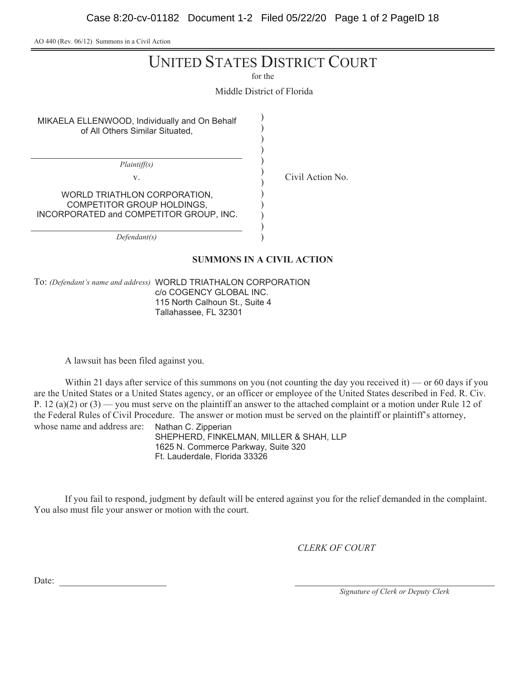AO 440 (Rev. 06/12) Summons in a Civil Action

# UNITED STATES DISTRICT COURT

for the

Middle District of Florida

) ) ) ) ) ) ) ) ) ) ) )

v. Civil Action No.

MIKAELA ELLENWOOD, Individually and On Behalf of All Others Similar Situated,

*Plaintiff(s)*

WORLD TRIATHLON CORPORATION, COMPETITOR GROUP HOLDINGS, INCORPORATED and COMPETITOR GROUP, INC.

*Defendant(s)*

### **SUMMONS IN A CIVIL ACTION**

To: *(Defendant's name and address)* WORLD TRIATHALON CORPORATION c/o COGENCY GLOBAL INC. 115 North Calhoun St., Suite 4 Tallahassee, FL 32301

A lawsuit has been filed against you.

Within 21 days after service of this summons on you (not counting the day you received it) — or 60 days if you are the United States or a United States agency, or an officer or employee of the United States described in Fed. R. Civ. P. 12 (a)(2) or (3) — you must serve on the plaintiff an answer to the attached complaint or a motion under Rule 12 of the Federal Rules of Civil Procedure. The answer or motion must be served on the plaintiff or plaintiff's attorney, whose name and address are: Nathan C. Zipperian

SHEPHERD, FINKELMAN, MILLER & SHAH, LLP 1625 N. Commerce Parkway, Suite 320 Ft. Lauderdale, Florida 33326

If you fail to respond, judgment by default will be entered against you for the relief demanded in the complaint. You also must file your answer or motion with the court.

*CLERK OF COURT*

Date:

*Signature of Clerk or Deputy Clerk*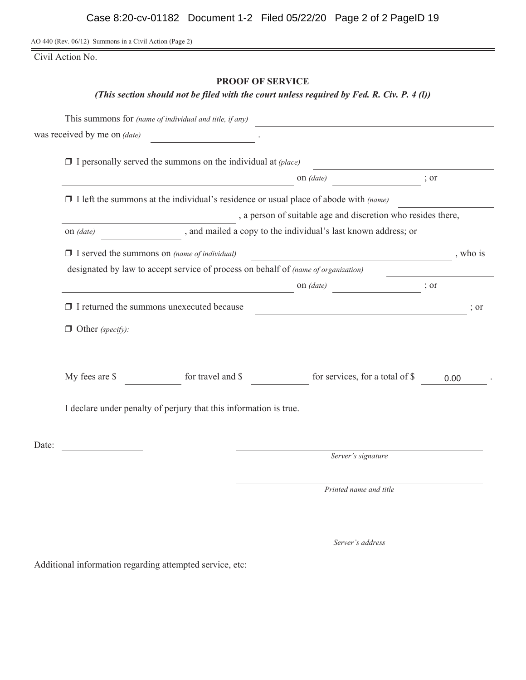AO 440 (Rev. 06/12) Summons in a Civil Action (Page 2)

Civil Action No.

# **PROOF OF SERVICE**

*(This section should not be filed with the court unless required by Fed. R. Civ. P. 4 (l))*

|       | This summons for (name of individual and title, if any)                                        |                   |  |                                 |      |          |  |  |
|-------|------------------------------------------------------------------------------------------------|-------------------|--|---------------------------------|------|----------|--|--|
|       | was received by me on (date)                                                                   |                   |  |                                 |      |          |  |  |
|       | $\Box$ I personally served the summons on the individual at (place)                            |                   |  |                                 |      |          |  |  |
|       | on (date)                                                                                      |                   |  |                                 |      |          |  |  |
|       | $\Box$ I left the summons at the individual's residence or usual place of abode with (name)    |                   |  |                                 |      |          |  |  |
|       | , a person of suitable age and discretion who resides there,                                   |                   |  |                                 |      |          |  |  |
|       | , and mailed a copy to the individual's last known address; or<br>on <i>(date)</i>             |                   |  |                                 |      |          |  |  |
|       | $\Box$ I served the summons on (name of individual)<br><u> 1980 - Johann Barbara, martin a</u> |                   |  |                                 |      | , who is |  |  |
|       | designated by law to accept service of process on behalf of (name of organization)             |                   |  |                                 |      |          |  |  |
|       |                                                                                                | ; or              |  |                                 |      |          |  |  |
|       | $\Box$ I returned the summons unexecuted because                                               |                   |  |                                 |      | ; or     |  |  |
|       | $\Box$ Other (specify):                                                                        |                   |  |                                 |      |          |  |  |
|       | My fees are \$                                                                                 | for travel and \$ |  | for services, for a total of \$ | 0.00 |          |  |  |
|       | I declare under penalty of perjury that this information is true.                              |                   |  |                                 |      |          |  |  |
| Date: |                                                                                                |                   |  |                                 |      |          |  |  |
|       |                                                                                                |                   |  | Server's signature              |      |          |  |  |
|       |                                                                                                |                   |  | Printed name and title          |      |          |  |  |

*Server's address*

Additional information regarding attempted service, etc: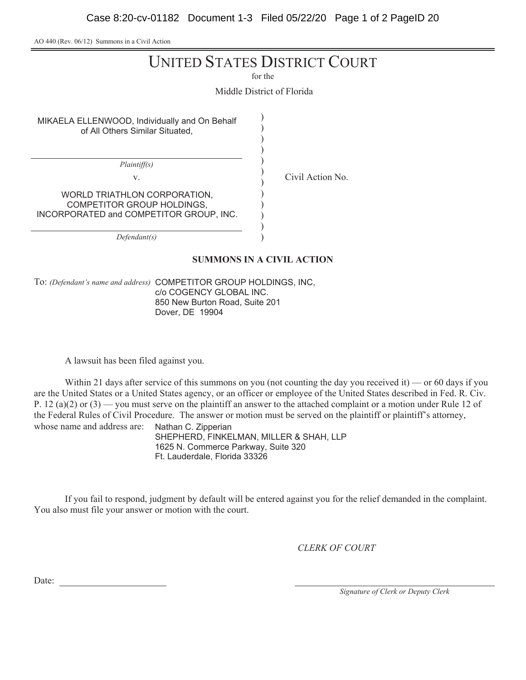AO 440 (Rev. 06/12) Summons in a Civil Action

# UNITED STATES DISTRICT COURT

for the

Middle District of Florida

) ) ) ) ) ) ) ) ) ) ) )

MIKAELA ELLENWOOD, Individually and On Behalf of All Others Similar Situated,

*Plaintiff(s)*

v. Civil Action No.

WORLD TRIATHLON CORPORATION, COMPETITOR GROUP HOLDINGS, INCORPORATED and COMPETITOR GROUP, INC.

*Defendant(s)*

### **SUMMONS IN A CIVIL ACTION**

To: *(Defendant's name and address)* COMPETITOR GROUP HOLDINGS, INC, c/o COGENCY GLOBAL INC. 850 New Burton Road, Suite 201 Dover, DE 19904

A lawsuit has been filed against you.

Within 21 days after service of this summons on you (not counting the day you received it) — or 60 days if you are the United States or a United States agency, or an officer or employee of the United States described in Fed. R. Civ. P. 12 (a)(2) or (3) — you must serve on the plaintiff an answer to the attached complaint or a motion under Rule 12 of the Federal Rules of Civil Procedure. The answer or motion must be served on the plaintiff or plaintiff's attorney, whose name and address are: Nathan C. Zipperian

SHEPHERD, FINKELMAN, MILLER & SHAH, LLP 1625 N. Commerce Parkway, Suite 320 Ft. Lauderdale, Florida 33326

If you fail to respond, judgment by default will be entered against you for the relief demanded in the complaint. You also must file your answer or motion with the court.

*CLERK OF COURT*

Date:

*Signature of Clerk or Deputy Clerk*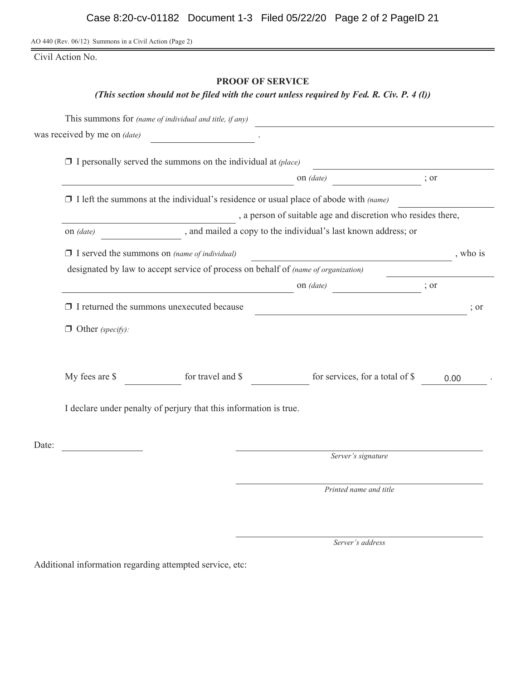AO 440 (Rev. 06/12) Summons in a Civil Action (Page 2)

Civil Action No.

# **PROOF OF SERVICE**

# *(This section should not be filed with the court unless required by Fed. R. Civ. P. 4 (l))*

|       |                                                                                             | This summons for (name of individual and title, if any)             |                                 |      |      |  |  |
|-------|---------------------------------------------------------------------------------------------|---------------------------------------------------------------------|---------------------------------|------|------|--|--|
|       | was received by me on (date)                                                                |                                                                     |                                 |      |      |  |  |
|       |                                                                                             | $\Box$ I personally served the summons on the individual at (place) |                                 |      |      |  |  |
|       | on (date)<br>; or                                                                           |                                                                     |                                 |      |      |  |  |
|       | $\Box$ I left the summons at the individual's residence or usual place of abode with (name) |                                                                     |                                 |      |      |  |  |
|       | , a person of suitable age and discretion who resides there,                                |                                                                     |                                 |      |      |  |  |
|       | , and mailed a copy to the individual's last known address; or<br>on (date)                 |                                                                     |                                 |      |      |  |  |
|       | $\Box$ I served the summons on (name of individual)                                         | <u> 1989 - Johann Barbara, martin a</u>                             | , who is                        |      |      |  |  |
|       | designated by law to accept service of process on behalf of (name of organization)          |                                                                     |                                 |      |      |  |  |
|       |                                                                                             |                                                                     | on (date)                       | ; or |      |  |  |
|       | $\Box$ I returned the summons unexecuted because                                            |                                                                     |                                 |      | ; or |  |  |
|       | $\Box$ Other (specify):                                                                     |                                                                     |                                 |      |      |  |  |
|       |                                                                                             |                                                                     |                                 |      |      |  |  |
|       | My fees are \$                                                                              | for travel and \$                                                   | for services, for a total of \$ | 0.00 |      |  |  |
|       | I declare under penalty of perjury that this information is true.                           |                                                                     |                                 |      |      |  |  |
| Date: |                                                                                             |                                                                     |                                 |      |      |  |  |
|       |                                                                                             |                                                                     | Server's signature              |      |      |  |  |
|       |                                                                                             |                                                                     | Printed name and title          |      |      |  |  |

*Server's address*

Additional information regarding attempted service, etc: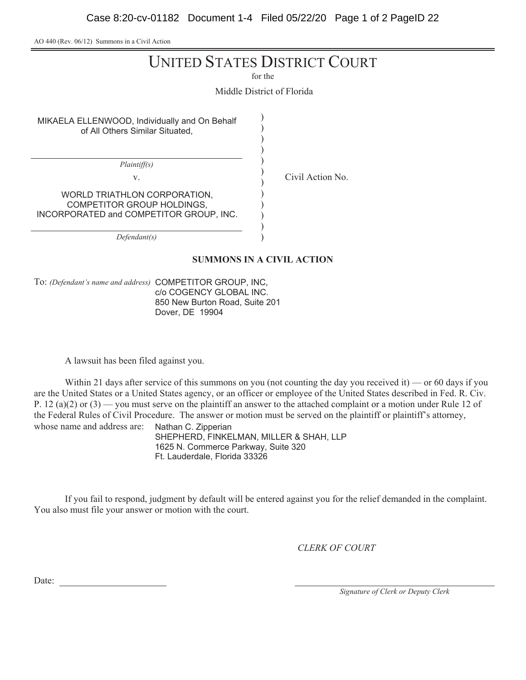AO 440 (Rev. 06/12) Summons in a Civil Action

# UNITED STATES DISTRICT COURT

for the

Middle District of Florida

) ) ) ) ) ) ) ) ) ) ) )

MIKAELA ELLENWOOD, Individually and On Behalf of All Others Similar Situated,

*Plaintiff(s)*

v. Civil Action No.

WORLD TRIATHLON CORPORATION, COMPETITOR GROUP HOLDINGS, INCORPORATED and COMPETITOR GROUP, INC.

*Defendant(s)*

#### **SUMMONS IN A CIVIL ACTION**

To: *(Defendant's name and address)* COMPETITOR GROUP, INC, c/o COGENCY GLOBAL INC. 850 New Burton Road, Suite 201 Dover, DE 19904

A lawsuit has been filed against you.

Within 21 days after service of this summons on you (not counting the day you received it) — or 60 days if you are the United States or a United States agency, or an officer or employee of the United States described in Fed. R. Civ. P. 12 (a)(2) or (3) — you must serve on the plaintiff an answer to the attached complaint or a motion under Rule 12 of the Federal Rules of Civil Procedure. The answer or motion must be served on the plaintiff or plaintiff's attorney, whose name and address are: Nathan C. Zipperian

SHEPHERD, FINKELMAN, MILLER & SHAH, LLP 1625 N. Commerce Parkway, Suite 320 Ft. Lauderdale, Florida 33326

If you fail to respond, judgment by default will be entered against you for the relief demanded in the complaint. You also must file your answer or motion with the court.

*CLERK OF COURT*

Date:

*Signature of Clerk or Deputy Clerk*